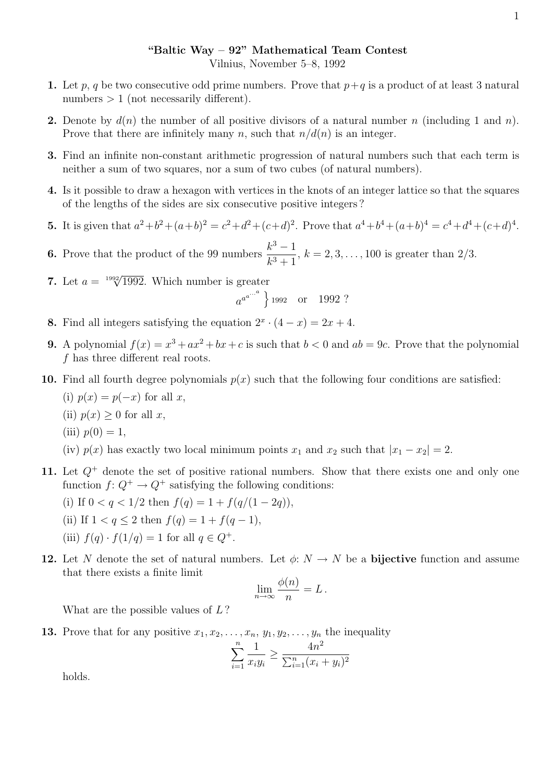## "Baltic Way – 92" Mathematical Team Contest

Vilnius, November 5–8, 1992

- 1. Let p, q be two consecutive odd prime numbers. Prove that  $p+q$  is a product of at least 3 natural numbers  $> 1$  (not necessarily different).
- **2.** Denote by  $d(n)$  the number of all positive divisors of a natural number n (including 1 and n). Prove that there are infinitely many n, such that  $n/d(n)$  is an integer.
- 3. Find an infinite non-constant arithmetic progression of natural numbers such that each term is neither a sum of two squares, nor a sum of two cubes (of natural numbers).
- 4. Is it possible to draw a hexagon with vertices in the knots of an integer lattice so that the squares of the lengths of the sides are six consecutive positive integers ?
- **5.** It is given that  $a^2+b^2+(a+b)^2=c^2+d^2+(c+d)^2$ . Prove that  $a^4+b^4+(a+b)^4=c^4+d^4+(c+d)^4$ .
- **6.** Prove that the product of the 99 numbers  $\frac{k^3 1}{k^3 1}$  $\frac{k}{k^3+1}$ ,  $k = 2, 3, ..., 100$  is greater than 2/3.
- 7. Let  $a = \sqrt[1992]{1992}$ . Which number is greater

 $a^{a^{...a}}$  } 1992 or 1992 ?

- **8.** Find all integers satisfying the equation  $2^x \cdot (4-x) = 2x + 4$ .
- **9.** A polynomial  $f(x) = x^3 + ax^2 + bx + c$  is such that  $b < 0$  and  $ab = 9c$ . Prove that the polynomial f has three different real roots.
- 10. Find all fourth degree polynomials  $p(x)$  such that the following four conditions are satisfied:
	- (i)  $p(x) = p(-x)$  for all x,
	- (ii)  $p(x) \geq 0$  for all x,
	- (iii)  $p(0) = 1$ ,
	- (iv)  $p(x)$  has exactly two local minimum points  $x_1$  and  $x_2$  such that  $|x_1 x_2| = 2$ .
- 11. Let  $Q^+$  denote the set of positive rational numbers. Show that there exists one and only one function  $f: Q^+ \to Q^+$  satisfying the following conditions:
	- (i) If  $0 < q < 1/2$  then  $f(q) = 1 + f(q/(1 2q)),$
	- (ii) If  $1 < q \leq 2$  then  $f(q) = 1 + f(q 1)$ ,
	- (iii)  $f(q) \cdot f(1/q) = 1$  for all  $q \in Q^+$ .
- 12. Let N denote the set of natural numbers. Let  $\phi: N \to N$  be a **bijective** function and assume that there exists a finite limit

$$
\lim_{n \to \infty} \frac{\phi(n)}{n} = L.
$$

What are the possible values of L?

**13.** Prove that for any positive  $x_1, x_2, \ldots, x_n, y_1, y_2, \ldots, y_n$  the inequality

$$
\sum_{i=1}^{n} \frac{1}{x_i y_i} \ge \frac{4n^2}{\sum_{i=1}^{n} (x_i + y_i)^2}
$$

holds.